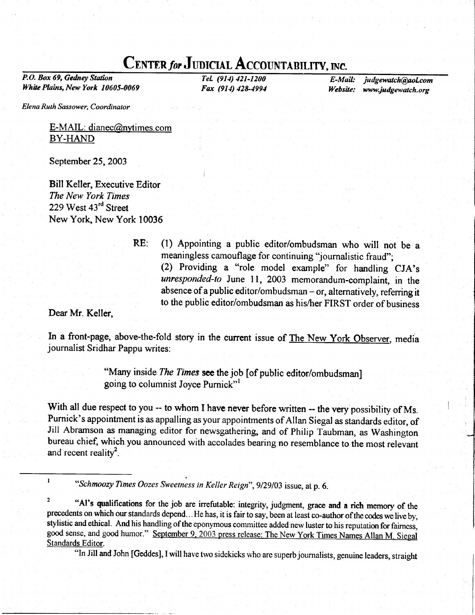# CENTER for JUDICIAL ACCOUNTABILITY, INC.

P.O. Box 69, Gedney Station White Plains, New York 10605-0069

TeL (914) 421-1200 Fax (914) 428-4994

E-Mail: judgewatch@aol.com Website: www.judgewatch.org

Elena Ruth Sassower, Coordinator

E-MAIL: dianec@nvtimes. com BY-HAND

September 25,2003

Bill Keller, Executive Editor The New York Times 229 West 43<sup>rd</sup> Street New York, New York 10036

RE: (l) Appointing a public editor/ombudsman who will not be a meaningless camouflage for continuing "journalistic fraud"; (2) Providing a "role model example" for handling CJA's unresponded-to June 11, 2003 memorandum-complaint, in the absence of a public editor/ombudsman  $-$  or, alternatively, referring it to the public editor/ombudsman as his/her FIRST order of business

Dear Mr. Keller,

In a front-page, above-the-fold story in the current issue of The New York Observer, media journalist Sridhar Pappu writes:

> "Many inside The Times see the job [of public editor/ombudsman] going to columnist Joyce Purnick"l

With all due respect to you -- to whom I have never before written -- the very possibility of Ms. Purnick's appointment is as appalling asyour appointments of Allan Siegal as standards editor, of Jill Abramson as managing editor for newsgathering, and of Philip Taubman, as Washington bureau chief, which you announced with accolades bearing no resemblance to the most relevant and recent reality<sup>2</sup>.

<sup>1</sup> "Schmoozy Times Oozes Sweetness in Keller Reign", 9/29/03 issue, at p. 6.

<sup>2</sup> "Al's qualifications for the job are irrefutable: integrity, judgment, grace and a rich memory of the precedents on which our standards depend. . He has, it is fair to say, been at least co-author of the codes we live by, stylistic and ethical. And his handling of the eponyrnous committee added new luster to his reputation for faimess, good sense, and good humor." September 9, 2003 press release: The New York Times Names Allan M. Siegal Standards Editor.<br>"In Jill and John [Geddes], I will have two sidekicks who are superb journalists, genuine leaders, straight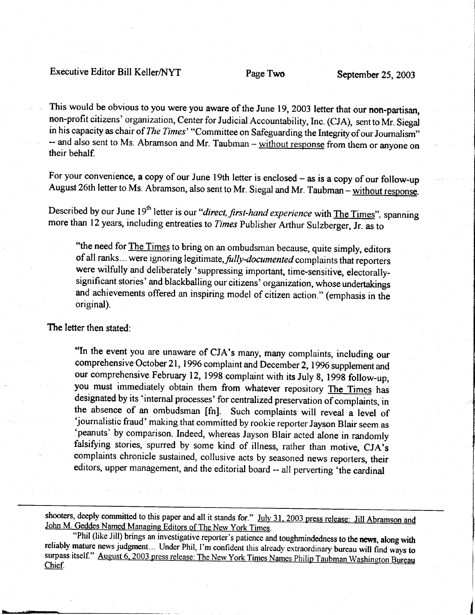### Executive Editor Bill Keller/NYT Page Two September 25, 2003

This would be obvious to you were you aware of the June 19, 2003 letter that our non-partisan, non-profit citizens' organization, Center for Judicial Accountability, Inc. (CJA), sent to Mr. Siegal in his capacity as chair of The Times' "Committee on Safeguarding the Integrity of our Journalism" -- and also sent to Ms. Abramson and Mr. Taubman - without response from them or anyone on their behalf.

For your convenience, a copy of our June 19th letter is enclosed - as is a copy of our follow-up August 26th letter to Ms. Abramson, also sent to Mr. Siegal and Mr. Taubman - without response.

Described by our June 19<sup>th</sup> letter is our "direct, first-hand experience with The Times", spanning more than l2 years, including entreaties to Times Publisher Arthur Sulzberger, Jr. as to

"the need for **The Times to bring on an ombudsman because**, quite simply, editors of all ranks... were ignoring legitimate, fully-documented complaints that reporters were wilfully and deliberately 'suppressing important, time-sensitive, electorallysignificant stories' and blackballing our citizens' organization, whose undertakings and achievements offered an inspiring model of citizen action." (emphasis in the original).

#### The letter then stated:

"In the event you are unaware of CJA's many, many complaints, including our comprehensive October 21, 1996 complaint and December 2, 1996 supplement and our comprehensive February 12,1998 complaint with its July 8, 1998 follow-up, you must immediately obtain them from whatever repository The Times has designated by its 'internal processes' for centralized preservation of complaints, in the absence of an ombudsman [fn]. Such complaints will reveal a level of 'journalistic fraud' making that committed by rookie reporter Jayson Blair seem as 'peanuts' by comparison. Indeed, whereas Jayson Blair acted alone in randomly falsifying stories, spurred by some kind of illness, rather than motive, CJA's complaints chronicle sustained, collusive acts by seasoned news reporters, their editors, upper management, and the editorial board -- all perverting 'the cardinal

shooters, deeply committed to this paper and all it stands for." July 31, 2003 press release: Jill Abramson and John M. Geddes Named Managing Editors of The New York Times.<br>"Phil (like Jill) brings an investigative reporte surpass itself." August 6, 2003 press release: The New York Times Names Philip Taubman Washington Bureau Chief.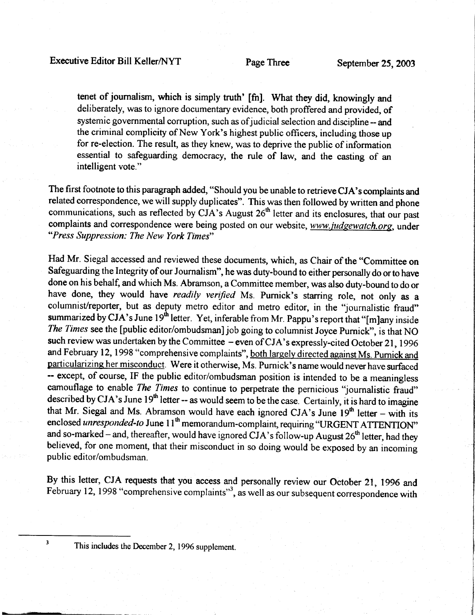tenet of journalism, which is simply truth' [fn]. what they did, knowingly and deliberately, was to ignore documentary evidence, both proffered and provided, of systemic governmental corruption, such as of judicial selection and discipline -- and the criminal complicity of New York's highest public officers, including those up for re-election. The result, as they knew, was to deprive the public of information essential to safeguarding democracy, the rule of law, and the casting of an intelligent vote."

The first footnote to this paragraph added, "Should you be unable to retrieve CJA's complaints and related correspondence, we will supply duplicates". This was then followed by written and phone communications, such as reflected by  $CJA$ 's August  $26<sup>th</sup>$  letter and its enclosures, that our past complaints and correspondence were being posted on our website, www.judgewatch.org, under "Press Suppression: The New York Times"

Had Mr. Siegal accessed and reviewed these documents, which, as Chair of the "Committee on Safeguarding the Integrity of our Journalism", he was duty-bound to either personally do or to have done on his behalf, and which Ms. Abramson, a Committee member, was also duty-bound to do or have done, they would have readily verified Ms. Purnick's starring role, not only as a columnist/reporter, but as deputy metro editor and metro editor, in the "journalistic fraud" summarized by CJA's June 19<sup>th</sup> letter. Yet, inferable from Mr. Pappu's report that "[m]any inside The Times see the [public editor/ombudsman] job going to columnist Joyce Purnick", is that NO such review was undertaken by the Committee - even of CJA's expressly-cited October 21, 1996 and February 12, 1998 "comprehensive complaints", both largely directed against Ms. Purnick and particularizing her misconduct. Were it otherwise, Ms. Purnick's name would never have surfaced -- except, of course, IF the public editor/ombudsman position is intended to be a meaningless camouflage to enable The Times to continue to perpetrate the pernicious "journalistic fraud" described by CJA's June 19<sup>th</sup> letter -- as would seem to be the case. Certainly, it is hard to imagine that Mr. Siegal and Ms. Abramson would have each ignored CJA's June  $19<sup>th</sup>$  letter - with its enclosed unresponded-to June 11<sup>th</sup> memorandum-complaint, requiring "URGENT ATTENTION" and so-marked - and, thereafter, would have ignored CJA's follow-up August  $26<sup>th</sup>$  letter, had they believed, for one moment, that their misconduct in so doing would be exposed by an incoming public editor/ombudsman.

By this letter, CJA requests that you access and personally review our October 21,1996 and February 12, 1998 "comprehensive complaints"<sup>3</sup>, as well as our subsequent correspondence with

 $\overline{\mathbf{3}}$ 

This includes the December 2,1996 supplement.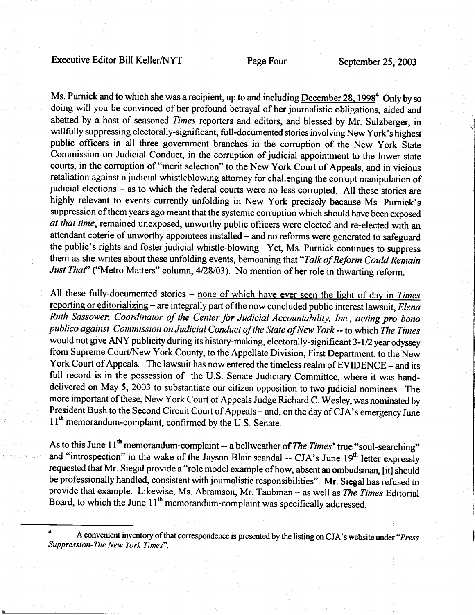# Executive Editor Bill Keller/NYT Page Four September 25, 2003

Ms. Purnick and to which she was a recipient, up to and including  $December 28$ , 1998<sup>4</sup>. Only by so doing will you be convinced of her profound betrayal of her journalistic obligations, aided and abetted by a host of seasoned Times reporters and editors, and blessed by Mr. Sulzberger, in willfully suppressing electorally-significant, full-documented stories involving New York's highest public officers in all three government branches in the corruption of the New York State Commission on Judicial Conduct, in the corruption of judicial appointment to the lower state courts, in the corruption of "merit selection" to the New York Court of Appeals, and in vicious retaliation against a judicial whistleblowing attorney for challenging the corrupt manipulation of judicial elections - as to which the federal courts were no less corrupted. All these stories are highly relevant to events currently unfolding in New York precisely because Ms. purnick's suppression of them years ago meant that the systemic corruption which should have been exposed at that time, remained unexposed, unworthy public officers were elected and re-elected with an attendant coterie of unworthy appointees installed – and no reforms were generated to safeguard the public's rights and foster judicial whistle-blowing. Yet, Ms. Purnick continues to suppress them as she writes about these unfolding events, bemoaning that "Talk of Reform Could Remain Just That" ("Metro Matters" column, 4/28/03). No mention of her role in thwarting reform.

All these fully-documented stories  $-$  none of which have ever seen the light of day in Times reporting or editorializing - are integrally part of the now concluded public interest lawsuit, Elena Ruth Sassower, Coordinator of the Center for Judicial Accountability, Inc., acting pro bono publico against Commission on Judicial Conduct of the State of New York -- to which The Times would not give ANY publicity during its history-making, electorally-significant 3-1/2 year odyssey from Supreme Court/New York County, to the Appellate Division, First Department, to the New York Court of Appeals. The lawsuit has now entered the timeless realm of EVIDENCE - and its full record is in the possession of the U.S. Senate Judiciary Committee, where it was handdelivered on May 5,2003 to substantiate our citizen opposition to two judicial nominees. The more important of these, New York Court of Appeals Judge Richard C. Wesley, was nominated by President Bush to the Second Circuit Court of Appeals - and, on the day of CJA's emergency June  $11<sup>th</sup>$  memorandum-complaint, confirmed by the U.S. Senate.

As to this June 11<sup>th</sup> memorandum-complaint -- a bellweather of *The Times'* true "soul-searching" and "introspection" in the wake of the Jayson Blair scandal -- CJA's June  $19<sup>th</sup>$  letter expressly requested that Mr. Siegal provide a "role model example of how, absent an ombudsman, [it] should be professionally handled, consistent with journalistic responsibilities". Mr. Siegal has refused to provide that example. Likewise, Ms. Abramson, Mr. Taubman - as well as The Times Editorial Board, to which the June  $11<sup>th</sup>$  memorandum-complaint was specifically addressed.

<sup>4</sup> A convenient inventory of that correspondence is presented by the listing on CJA's website under "*Press* Suppression-Ihe New York Times".